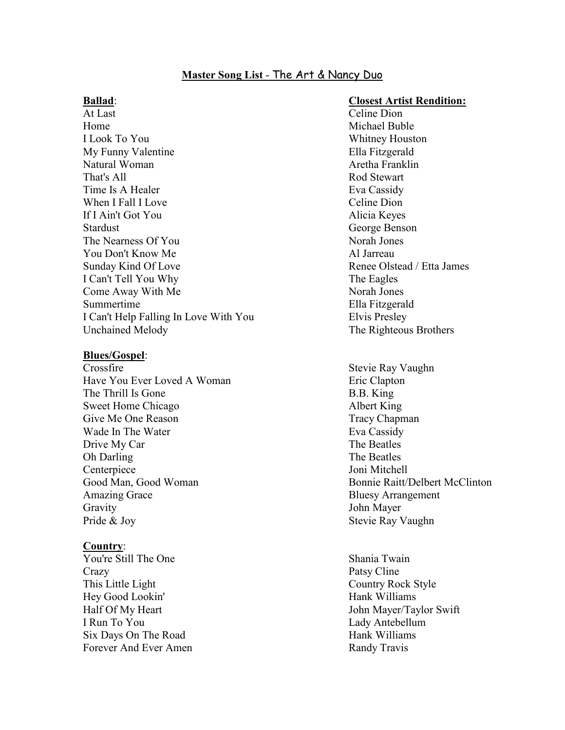# **Master Song List** - The Art & Nancy Duo

At Last Celine Dion Home Michael Buble and Michael Buble and Michael Buble and Michael Buble and Michael Buble and Michael Buble and Michael Buble and Michael Buble and Michael Buble and Michael Buble and Michael Buble and Michael Buble and M I Look To You Whitney Houston My Funny Valentine Ella Fitzgerald Natural Woman **Aretha Franklin** That's All **Rod** Stewart Time Is A Healer Eva Cassidy When I Fall I Love Celine Dion If I Ain't Got You Alicia Keyes Stardust George Benson The Nearness Of You Norah Jones You Don't Know Me Al Jarreau Sunday Kind Of Love **Renee Olstead / Etta James** Renee Olstead / Etta James I Can't Tell You Why The Eagles Come Away With Me Norah Jones Summertime Ella Fitzgerald I Can't Help Falling In Love With You Elvis Presley Unchained Melody The Righteous Brothers

#### **Blues/Gospel**:

Crossfire Stevie Ray Vaughn Have You Ever Loved A Woman Eric Clapton The Thrill Is Gone B.B. King Sweet Home Chicago Albert King Give Me One Reason Tracy Chapman Wade In The Water **Eva** Cassidy Drive My Car The Beatles Oh Darling The Beatles Centerpiece Joni Mitchell Amazing Grace Bluesy Arrangement Gravity John Mayer Pride & Joy Stevie Ray Vaughn

## **Country**:

You're Still The One Shania Twain Crazy Patsy Cline This Little Light Country Rock Style Hey Good Lookin' Hank Williams I Run To You Lady Antebellum Six Days On The Road Hank Williams Forever And Ever Amen Randy Travis

## **Ballad**: **Closest Artist Rendition:**

Good Man, Good Woman Bonnie Raitt/Delbert McClinton

Half Of My Heart John Mayer/Taylor Swift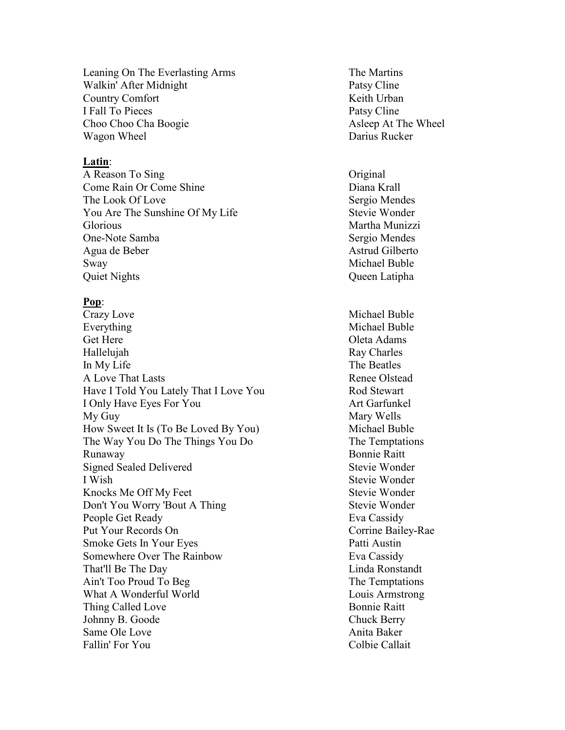Leaning On The Everlasting Arms The Martins Walkin' After Midnight Patsy Cline Country Comfort Keith Urban I Fall To Pieces Patsy Cline Choo Choo Cha Boogie Asleep At The Wheel Wagon Wheel Darius Rucker

## **Latin**:

A Reason To Sing Contact Contact Contact Contact Contact Contact Contact Contact Contact Contact Contact Contact Contact Contact Contact Contact Contact Contact Contact Contact Contact Contact Contact Contact Contact Conta Come Rain Or Come Shine Diana Krall The Look Of Love Sergio Mendes You Are The Sunshine Of My Life Stevie Wonder Glorious Martha Munizzi One-Note Samba Sergio Mendes Agua de Beber Astrud Gilberto Sway Michael Buble Quiet Nights Queen Latipha

## **Pop**:

Crazy Love Michael Buble Everything Michael Buble Get Here **Oleta Adams** Hallelujah Ray Charles In My Life The Beatles A Love That Lasts Renee Olstead Have I Told You Lately That I Love You Rod Stewart I Only Have Eyes For You Art Garfunkel My Guy Mary Wells How Sweet It Is (To Be Loved By You) Michael Buble The Way You Do The Things You Do The Temptations Runaway Bonnie Raitt Signed Sealed Delivered Stevie Wonder I Wish Stevie Wonder Knocks Me Off My Feet Stevie Wonder Don't You Worry 'Bout A Thing Stevie Wonder People Get Ready Eva Cassidy Put Your Records On Corrine Bailey-Rae Smoke Gets In Your Eyes Patti Austin Somewhere Over The Rainbow Eva Cassidy That'll Be The Day Linda Ronstandt Ain't Too Proud To Beg The Temptations What A Wonderful World Louis Armstrong Thing Called Love Bonnie Raitt Johnny B. Goode Chuck Berry Same Ole Love **Anita Baker** Fallin' For You Colbie Callait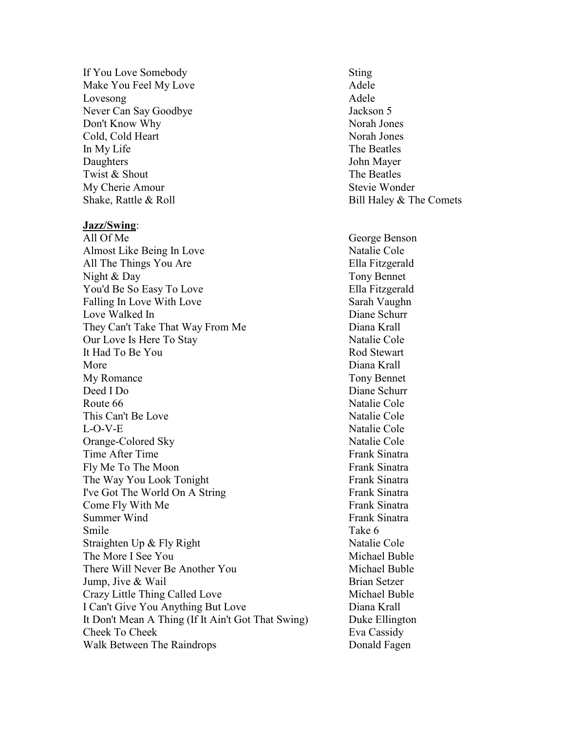If You Love Somebody Sting Make You Feel My Love **Adele** Adele Lovesong Adele Never Can Say Goodbye Jackson 5 Don't Know Why Norah Jones Cold, Cold Heart Norah Jones In My Life The Beatles Daughters John Mayer Twist & Shout The Beatles My Cherie Amour Stevie Wonder Shake, Rattle & Roll Bill Haley & The Comets

#### **Jazz/Swing**:

All Of Me George Benson Almost Like Being In Love Natalie Cole All The Things You Are Ella Fitzgerald Night & Day Tony Bennet You'd Be So Easy To Love Ella Fitzgerald Falling In Love With Love Sarah Vaughn Love Walked In Diane Schurr They Can't Take That Way From Me Diana Krall Our Love Is Here To Stay Natalie Cole It Had To Be You Rod Stewart More Diana Krall My Romance Tony Bennet Deed I Do Diane Schurr Route 66 Natalie Cole This Can't Be Love Natalie Cole L-O-V-E Natalie Cole Orange-Colored Sky Natalie Cole Time After Time **Frank Sinatra** Fly Me To The Moon Frank Sinatra The Way You Look Tonight Frank Sinatra I've Got The World On A String Frank Sinatra Come Fly With Me Frank Sinatra Summer Wind Frank Sinatra Smile Take 6 Straighten Up & Fly Right Natalie Cole The More I See You **Michael Buble** There Will Never Be Another You Michael Buble Jump, Jive & Wail Brian Setzer Crazy Little Thing Called Love Michael Buble I Can't Give You Anything But Love Diana Krall It Don't Mean A Thing (If It Ain't Got That Swing) Duke Ellington Cheek To Cheek **Eva Cassidy** Walk Between The Raindrops Donald Fagen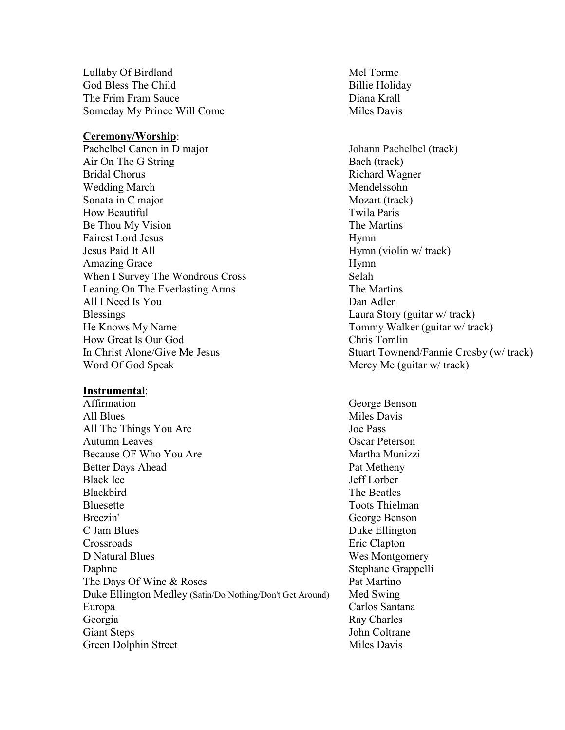Lullaby Of Birdland Mel Torme God Bless The Child Billie Holiday The Frim Fram Sauce **Diana Krall** Someday My Prince Will Come Miles Davis

#### **Ceremony/Worship**:

Pachelbel Canon in D major Johann Pachelbel (track) Air On The G String Bach (track) Bridal Chorus **Richard Wagner** Richard Wagner Wedding March Mendelssohn Sonata in C major Mozart (track) How Beautiful Twila Paris Be Thou My Vision The Martins Fairest Lord Jesus Hymn Jesus Paid It All Hymn (violin w/ track) Amazing Grace Hymn When I Survey The Wondrous Cross Selah Leaning On The Everlasting Arms The Martins All I Need Is You Dan Adler Blessings Laura Story (guitar w/ track) He Knows My Name Tommy Walker (guitar w/ track) How Great Is Our God Chris Tomlin Word Of God Speak Mercy Me (guitar w/ track)

#### **Instrumental**:

Affirmation George Benson All Blues Miles Davis All The Things You Are Joe Pass Autumn Leaves Contract Contract Contract Contract Contract Contract Contract Contract Contract Contract Contract Contract Contract Contract Contract Contract Contract Contract Contract Contract Contract Contract Contract C Because OF Who You Are Martha Munizzi Better Days Ahead Pat Metheny Black Ice Jeff Lorber Blackbird The Beatles Bluesette Toots Thielman Breezin' George Benson C Jam Blues Duke Ellington Crossroads Eric Clapton D Natural Blues Wes Montgomery Daphne Stephane Grappelli The Days Of Wine & Roses Pat Martino Duke Ellington Medley (Satin/Do Nothing/Don't Get Around) Med Swing Europa Carlos Santana Georgia Ray Charles Giant Steps John Coltrane Green Dolphin Street Miles Davis

In Christ Alone/Give Me Jesus Stuart Townend/Fannie Crosby (w/ track)